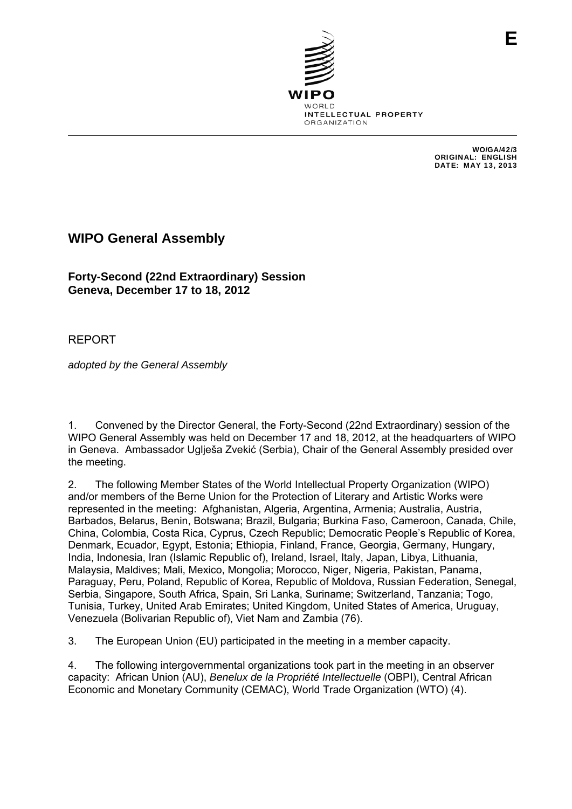

WO/GA/42/3 ORIGINAL: ENGLISH DATE: MAY 13, 2013

**E**

## **WIPO General Assembly**

**Forty-Second (22nd Extraordinary) Session Geneva, December 17 to 18, 2012** 

REPORT

*adopted by the General Assembly* 

1. Convened by the Director General, the Forty-Second (22nd Extraordinary) session of the WIPO General Assembly was held on December 17 and 18, 2012, at the headquarters of WIPO in Geneva. Ambassador Uglieša Zvekić (Serbia), Chair of the General Assembly presided over the meeting.

2. The following Member States of the World Intellectual Property Organization (WIPO) and/or members of the Berne Union for the Protection of Literary and Artistic Works were represented in the meeting: Afghanistan, Algeria, Argentina, Armenia; Australia, Austria, Barbados, Belarus, Benin, Botswana; Brazil, Bulgaria; Burkina Faso, Cameroon, Canada, Chile, China, Colombia, Costa Rica, Cyprus, Czech Republic; Democratic People's Republic of Korea, Denmark, Ecuador, Egypt, Estonia; Ethiopia, Finland, France, Georgia, Germany, Hungary, India, Indonesia, Iran (Islamic Republic of), Ireland, Israel, Italy, Japan, Libya, Lithuania, Malaysia, Maldives; Mali, Mexico, Mongolia; Morocco, Niger, Nigeria, Pakistan, Panama, Paraguay, Peru, Poland, Republic of Korea, Republic of Moldova, Russian Federation, Senegal, Serbia, Singapore, South Africa, Spain, Sri Lanka, Suriname; Switzerland, Tanzania; Togo, Tunisia, Turkey, United Arab Emirates; United Kingdom, United States of America, Uruguay, Venezuela (Bolivarian Republic of), Viet Nam and Zambia (76).

3. The European Union (EU) participated in the meeting in a member capacity.

4. The following intergovernmental organizations took part in the meeting in an observer capacity: African Union (AU), *Benelux de la Propriété Intellectuelle* (OBPI), Central African Economic and Monetary Community (CEMAC), World Trade Organization (WTO) (4).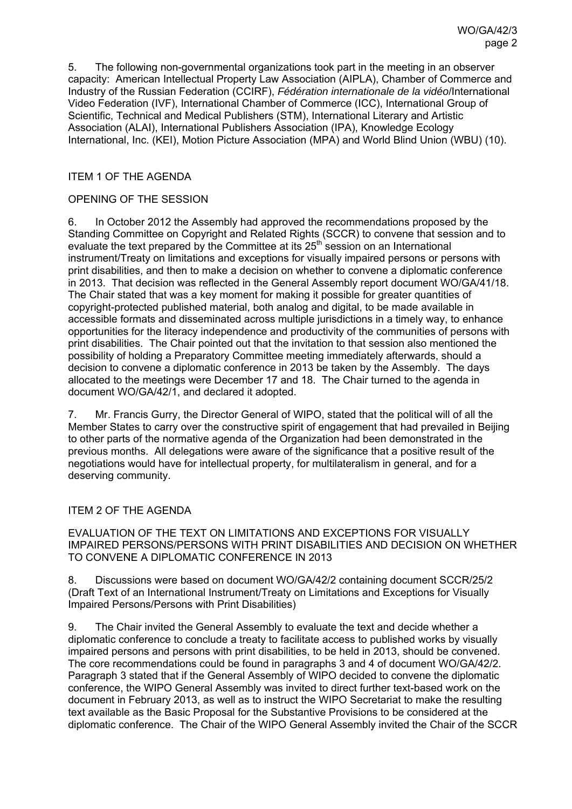5. The following non-governmental organizations took part in the meeting in an observer capacity: American Intellectual Property Law Association (AIPLA), Chamber of Commerce and Industry of the Russian Federation (CCIRF), *Fédération internationale de la vidéo*/International Video Federation (IVF), International Chamber of Commerce (ICC), International Group of Scientific, Technical and Medical Publishers (STM), International Literary and Artistic Association (ALAI), International Publishers Association (IPA), Knowledge Ecology International, Inc. (KEI), Motion Picture Association (MPA) and World Blind Union (WBU) (10).

## ITEM 1 OF THE AGENDA

## OPENING OF THE SESSION

6. In October 2012 the Assembly had approved the recommendations proposed by the Standing Committee on Copyright and Related Rights (SCCR) to convene that session and to evaluate the text prepared by the Committee at its 25<sup>th</sup> session on an International instrument/Treaty on limitations and exceptions for visually impaired persons or persons with print disabilities, and then to make a decision on whether to convene a diplomatic conference in 2013. That decision was reflected in the General Assembly report document WO/GA/41/18. The Chair stated that was a key moment for making it possible for greater quantities of copyright-protected published material, both analog and digital, to be made available in accessible formats and disseminated across multiple jurisdictions in a timely way, to enhance opportunities for the literacy independence and productivity of the communities of persons with print disabilities. The Chair pointed out that the invitation to that session also mentioned the possibility of holding a Preparatory Committee meeting immediately afterwards, should a decision to convene a diplomatic conference in 2013 be taken by the Assembly. The days allocated to the meetings were December 17 and 18. The Chair turned to the agenda in document WO/GA/42/1, and declared it adopted.

7. Mr. Francis Gurry, the Director General of WIPO, stated that the political will of all the Member States to carry over the constructive spirit of engagement that had prevailed in Beijing to other parts of the normative agenda of the Organization had been demonstrated in the previous months. All delegations were aware of the significance that a positive result of the negotiations would have for intellectual property, for multilateralism in general, and for a deserving community.

## ITEM 2 OF THE AGENDA

EVALUATION OF THE TEXT ON LIMITATIONS AND EXCEPTIONS FOR VISUALLY IMPAIRED PERSONS/PERSONS WITH PRINT DISABILITIES AND DECISION ON WHETHER TO CONVENE A DIPLOMATIC CONFERENCE IN 2013

8. Discussions were based on document WO/GA/42/2 containing document SCCR/25/2 (Draft Text of an International Instrument/Treaty on Limitations and Exceptions for Visually Impaired Persons/Persons with Print Disabilities)

9. The Chair invited the General Assembly to evaluate the text and decide whether a diplomatic conference to conclude a treaty to facilitate access to published works by visually impaired persons and persons with print disabilities, to be held in 2013, should be convened. The core recommendations could be found in paragraphs 3 and 4 of document WO/GA/42/2. Paragraph 3 stated that if the General Assembly of WIPO decided to convene the diplomatic conference, the WIPO General Assembly was invited to direct further text-based work on the document in February 2013, as well as to instruct the WIPO Secretariat to make the resulting text available as the Basic Proposal for the Substantive Provisions to be considered at the diplomatic conference. The Chair of the WIPO General Assembly invited the Chair of the SCCR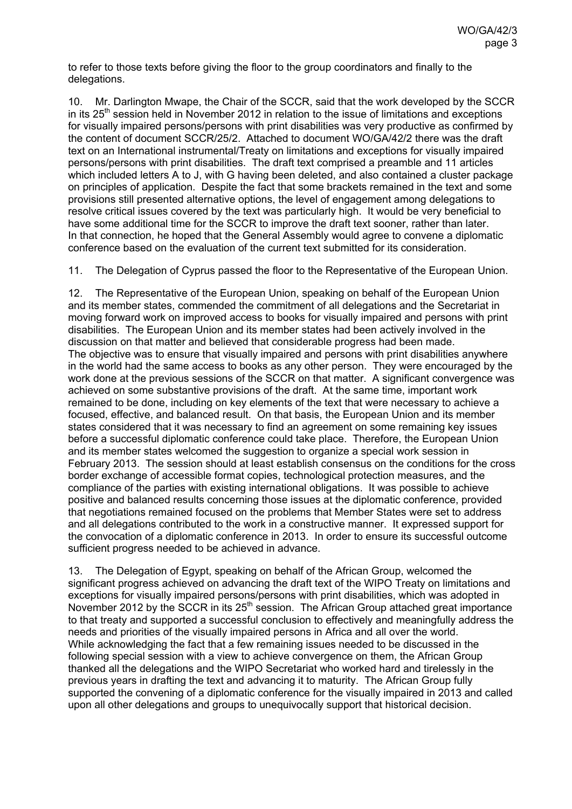to refer to those texts before giving the floor to the group coordinators and finally to the delegations.

10. Mr. Darlington Mwape, the Chair of the SCCR, said that the work developed by the SCCR in its  $25<sup>th</sup>$  session held in November 2012 in relation to the issue of limitations and exceptions for visually impaired persons/persons with print disabilities was very productive as confirmed by the content of document SCCR/25/2. Attached to document WO/GA/42/2 there was the draft text on an International instrumental/Treaty on limitations and exceptions for visually impaired persons/persons with print disabilities. The draft text comprised a preamble and 11 articles which included letters A to J, with G having been deleted, and also contained a cluster package on principles of application. Despite the fact that some brackets remained in the text and some provisions still presented alternative options, the level of engagement among delegations to resolve critical issues covered by the text was particularly high. It would be very beneficial to have some additional time for the SCCR to improve the draft text sooner, rather than later. In that connection, he hoped that the General Assembly would agree to convene a diplomatic conference based on the evaluation of the current text submitted for its consideration.

11. The Delegation of Cyprus passed the floor to the Representative of the European Union.

12. The Representative of the European Union, speaking on behalf of the European Union and its member states, commended the commitment of all delegations and the Secretariat in moving forward work on improved access to books for visually impaired and persons with print disabilities. The European Union and its member states had been actively involved in the discussion on that matter and believed that considerable progress had been made. The objective was to ensure that visually impaired and persons with print disabilities anywhere in the world had the same access to books as any other person. They were encouraged by the work done at the previous sessions of the SCCR on that matter. A significant convergence was achieved on some substantive provisions of the draft. At the same time, important work remained to be done, including on key elements of the text that were necessary to achieve a focused, effective, and balanced result. On that basis, the European Union and its member states considered that it was necessary to find an agreement on some remaining key issues before a successful diplomatic conference could take place. Therefore, the European Union and its member states welcomed the suggestion to organize a special work session in February 2013. The session should at least establish consensus on the conditions for the cross border exchange of accessible format copies, technological protection measures, and the compliance of the parties with existing international obligations. It was possible to achieve positive and balanced results concerning those issues at the diplomatic conference, provided that negotiations remained focused on the problems that Member States were set to address and all delegations contributed to the work in a constructive manner. It expressed support for the convocation of a diplomatic conference in 2013. In order to ensure its successful outcome sufficient progress needed to be achieved in advance.

13. The Delegation of Egypt, speaking on behalf of the African Group, welcomed the significant progress achieved on advancing the draft text of the WIPO Treaty on limitations and exceptions for visually impaired persons/persons with print disabilities, which was adopted in November 2012 by the SCCR in its  $25<sup>th</sup>$  session. The African Group attached great importance to that treaty and supported a successful conclusion to effectively and meaningfully address the needs and priorities of the visually impaired persons in Africa and all over the world. While acknowledging the fact that a few remaining issues needed to be discussed in the following special session with a view to achieve convergence on them, the African Group thanked all the delegations and the WIPO Secretariat who worked hard and tirelessly in the previous years in drafting the text and advancing it to maturity. The African Group fully supported the convening of a diplomatic conference for the visually impaired in 2013 and called upon all other delegations and groups to unequivocally support that historical decision.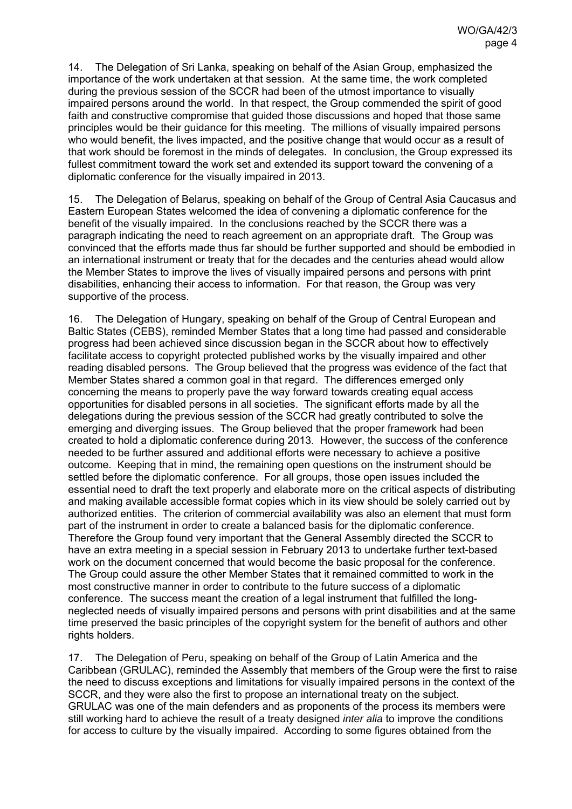14. The Delegation of Sri Lanka, speaking on behalf of the Asian Group, emphasized the importance of the work undertaken at that session. At the same time, the work completed during the previous session of the SCCR had been of the utmost importance to visually impaired persons around the world. In that respect, the Group commended the spirit of good faith and constructive compromise that guided those discussions and hoped that those same principles would be their guidance for this meeting. The millions of visually impaired persons who would benefit, the lives impacted, and the positive change that would occur as a result of that work should be foremost in the minds of delegates. In conclusion, the Group expressed its fullest commitment toward the work set and extended its support toward the convening of a diplomatic conference for the visually impaired in 2013.

15. The Delegation of Belarus, speaking on behalf of the Group of Central Asia Caucasus and Eastern European States welcomed the idea of convening a diplomatic conference for the benefit of the visually impaired. In the conclusions reached by the SCCR there was a paragraph indicating the need to reach agreement on an appropriate draft. The Group was convinced that the efforts made thus far should be further supported and should be embodied in an international instrument or treaty that for the decades and the centuries ahead would allow the Member States to improve the lives of visually impaired persons and persons with print disabilities, enhancing their access to information. For that reason, the Group was very supportive of the process.

16. The Delegation of Hungary, speaking on behalf of the Group of Central European and Baltic States (CEBS), reminded Member States that a long time had passed and considerable progress had been achieved since discussion began in the SCCR about how to effectively facilitate access to copyright protected published works by the visually impaired and other reading disabled persons. The Group believed that the progress was evidence of the fact that Member States shared a common goal in that regard. The differences emerged only concerning the means to properly pave the way forward towards creating equal access opportunities for disabled persons in all societies. The significant efforts made by all the delegations during the previous session of the SCCR had greatly contributed to solve the emerging and diverging issues. The Group believed that the proper framework had been created to hold a diplomatic conference during 2013. However, the success of the conference needed to be further assured and additional efforts were necessary to achieve a positive outcome. Keeping that in mind, the remaining open questions on the instrument should be settled before the diplomatic conference. For all groups, those open issues included the essential need to draft the text properly and elaborate more on the critical aspects of distributing and making available accessible format copies which in its view should be solely carried out by authorized entities. The criterion of commercial availability was also an element that must form part of the instrument in order to create a balanced basis for the diplomatic conference. Therefore the Group found very important that the General Assembly directed the SCCR to have an extra meeting in a special session in February 2013 to undertake further text-based work on the document concerned that would become the basic proposal for the conference. The Group could assure the other Member States that it remained committed to work in the most constructive manner in order to contribute to the future success of a diplomatic conference. The success meant the creation of a legal instrument that fulfilled the longneglected needs of visually impaired persons and persons with print disabilities and at the same time preserved the basic principles of the copyright system for the benefit of authors and other rights holders.

17. The Delegation of Peru, speaking on behalf of the Group of Latin America and the Caribbean (GRULAC), reminded the Assembly that members of the Group were the first to raise the need to discuss exceptions and limitations for visually impaired persons in the context of the SCCR, and they were also the first to propose an international treaty on the subject. GRULAC was one of the main defenders and as proponents of the process its members were still working hard to achieve the result of a treaty designed *inter alia* to improve the conditions for access to culture by the visually impaired. According to some figures obtained from the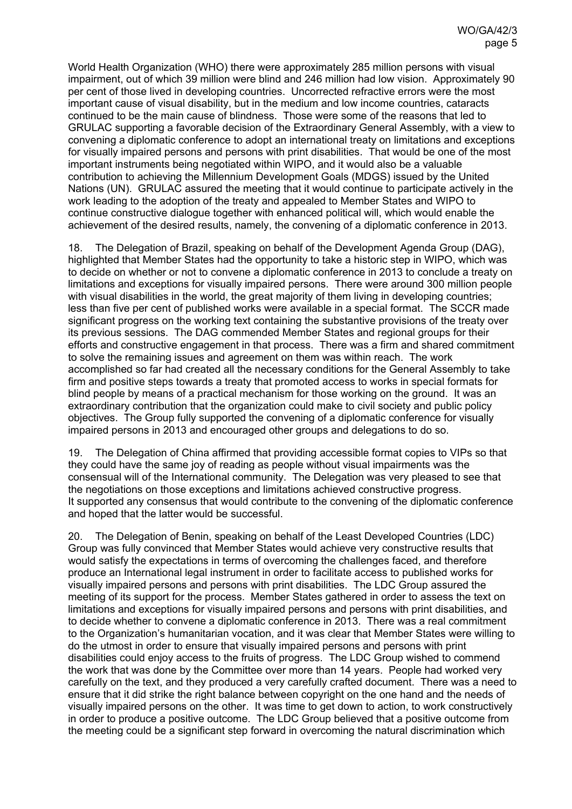World Health Organization (WHO) there were approximately 285 million persons with visual impairment, out of which 39 million were blind and 246 million had low vision. Approximately 90 per cent of those lived in developing countries. Uncorrected refractive errors were the most important cause of visual disability, but in the medium and low income countries, cataracts continued to be the main cause of blindness. Those were some of the reasons that led to GRULAC supporting a favorable decision of the Extraordinary General Assembly, with a view to convening a diplomatic conference to adopt an international treaty on limitations and exceptions for visually impaired persons and persons with print disabilities. That would be one of the most important instruments being negotiated within WIPO, and it would also be a valuable contribution to achieving the Millennium Development Goals (MDGS) issued by the United Nations (UN). GRULAC assured the meeting that it would continue to participate actively in the work leading to the adoption of the treaty and appealed to Member States and WIPO to continue constructive dialogue together with enhanced political will, which would enable the achievement of the desired results, namely, the convening of a diplomatic conference in 2013.

18. The Delegation of Brazil, speaking on behalf of the Development Agenda Group (DAG), highlighted that Member States had the opportunity to take a historic step in WIPO, which was to decide on whether or not to convene a diplomatic conference in 2013 to conclude a treaty on limitations and exceptions for visually impaired persons. There were around 300 million people with visual disabilities in the world, the great majority of them living in developing countries; less than five per cent of published works were available in a special format. The SCCR made significant progress on the working text containing the substantive provisions of the treaty over its previous sessions. The DAG commended Member States and regional groups for their efforts and constructive engagement in that process. There was a firm and shared commitment to solve the remaining issues and agreement on them was within reach. The work accomplished so far had created all the necessary conditions for the General Assembly to take firm and positive steps towards a treaty that promoted access to works in special formats for blind people by means of a practical mechanism for those working on the ground. It was an extraordinary contribution that the organization could make to civil society and public policy objectives. The Group fully supported the convening of a diplomatic conference for visually impaired persons in 2013 and encouraged other groups and delegations to do so.

19. The Delegation of China affirmed that providing accessible format copies to VIPs so that they could have the same joy of reading as people without visual impairments was the consensual will of the International community. The Delegation was very pleased to see that the negotiations on those exceptions and limitations achieved constructive progress. It supported any consensus that would contribute to the convening of the diplomatic conference and hoped that the latter would be successful.

20. The Delegation of Benin, speaking on behalf of the Least Developed Countries (LDC) Group was fully convinced that Member States would achieve very constructive results that would satisfy the expectations in terms of overcoming the challenges faced, and therefore produce an International legal instrument in order to facilitate access to published works for visually impaired persons and persons with print disabilities. The LDC Group assured the meeting of its support for the process. Member States gathered in order to assess the text on limitations and exceptions for visually impaired persons and persons with print disabilities, and to decide whether to convene a diplomatic conference in 2013. There was a real commitment to the Organization's humanitarian vocation, and it was clear that Member States were willing to do the utmost in order to ensure that visually impaired persons and persons with print disabilities could enjoy access to the fruits of progress. The LDC Group wished to commend the work that was done by the Committee over more than 14 years. People had worked very carefully on the text, and they produced a very carefully crafted document. There was a need to ensure that it did strike the right balance between copyright on the one hand and the needs of visually impaired persons on the other. It was time to get down to action, to work constructively in order to produce a positive outcome. The LDC Group believed that a positive outcome from the meeting could be a significant step forward in overcoming the natural discrimination which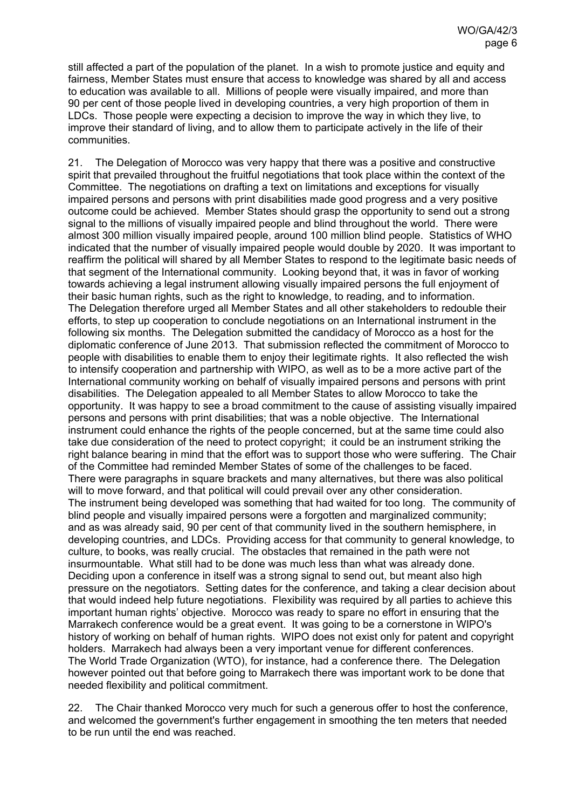still affected a part of the population of the planet. In a wish to promote justice and equity and fairness, Member States must ensure that access to knowledge was shared by all and access to education was available to all. Millions of people were visually impaired, and more than 90 per cent of those people lived in developing countries, a very high proportion of them in LDCs. Those people were expecting a decision to improve the way in which they live, to improve their standard of living, and to allow them to participate actively in the life of their communities.

21. The Delegation of Morocco was very happy that there was a positive and constructive spirit that prevailed throughout the fruitful negotiations that took place within the context of the Committee. The negotiations on drafting a text on limitations and exceptions for visually impaired persons and persons with print disabilities made good progress and a very positive outcome could be achieved. Member States should grasp the opportunity to send out a strong signal to the millions of visually impaired people and blind throughout the world. There were almost 300 million visually impaired people, around 100 million blind people. Statistics of WHO indicated that the number of visually impaired people would double by 2020. It was important to reaffirm the political will shared by all Member States to respond to the legitimate basic needs of that segment of the International community. Looking beyond that, it was in favor of working towards achieving a legal instrument allowing visually impaired persons the full enjoyment of their basic human rights, such as the right to knowledge, to reading, and to information. The Delegation therefore urged all Member States and all other stakeholders to redouble their efforts, to step up cooperation to conclude negotiations on an International instrument in the following six months. The Delegation submitted the candidacy of Morocco as a host for the diplomatic conference of June 2013. That submission reflected the commitment of Morocco to people with disabilities to enable them to enjoy their legitimate rights. It also reflected the wish to intensify cooperation and partnership with WIPO, as well as to be a more active part of the International community working on behalf of visually impaired persons and persons with print disabilities. The Delegation appealed to all Member States to allow Morocco to take the opportunity. It was happy to see a broad commitment to the cause of assisting visually impaired persons and persons with print disabilities; that was a noble objective. The International instrument could enhance the rights of the people concerned, but at the same time could also take due consideration of the need to protect copyright; it could be an instrument striking the right balance bearing in mind that the effort was to support those who were suffering. The Chair of the Committee had reminded Member States of some of the challenges to be faced. There were paragraphs in square brackets and many alternatives, but there was also political will to move forward, and that political will could prevail over any other consideration. The instrument being developed was something that had waited for too long. The community of blind people and visually impaired persons were a forgotten and marginalized community; and as was already said, 90 per cent of that community lived in the southern hemisphere, in developing countries, and LDCs. Providing access for that community to general knowledge, to culture, to books, was really crucial. The obstacles that remained in the path were not insurmountable. What still had to be done was much less than what was already done. Deciding upon a conference in itself was a strong signal to send out, but meant also high pressure on the negotiators. Setting dates for the conference, and taking a clear decision about that would indeed help future negotiations. Flexibility was required by all parties to achieve this important human rights' objective. Morocco was ready to spare no effort in ensuring that the Marrakech conference would be a great event. It was going to be a cornerstone in WIPO's history of working on behalf of human rights. WIPO does not exist only for patent and copyright holders. Marrakech had always been a very important venue for different conferences. The World Trade Organization (WTO), for instance, had a conference there. The Delegation however pointed out that before going to Marrakech there was important work to be done that needed flexibility and political commitment.

22. The Chair thanked Morocco very much for such a generous offer to host the conference, and welcomed the government's further engagement in smoothing the ten meters that needed to be run until the end was reached.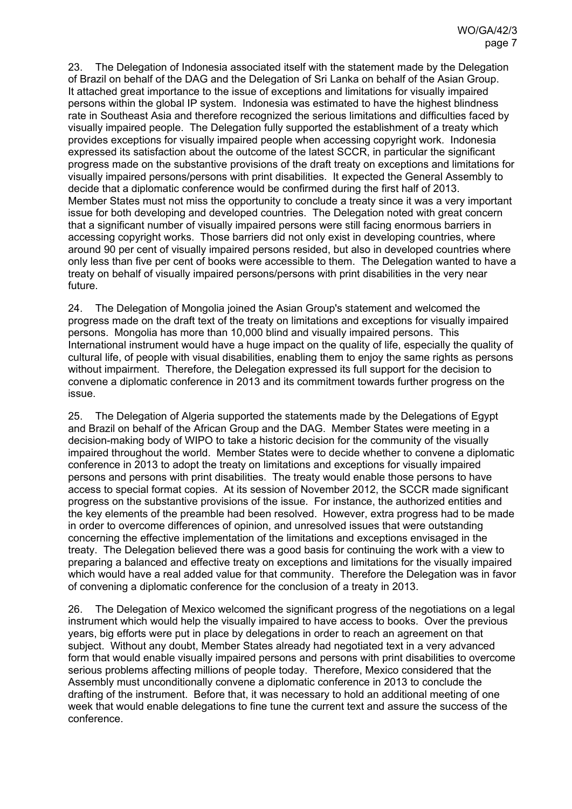23. The Delegation of Indonesia associated itself with the statement made by the Delegation of Brazil on behalf of the DAG and the Delegation of Sri Lanka on behalf of the Asian Group. It attached great importance to the issue of exceptions and limitations for visually impaired persons within the global IP system. Indonesia was estimated to have the highest blindness rate in Southeast Asia and therefore recognized the serious limitations and difficulties faced by visually impaired people. The Delegation fully supported the establishment of a treaty which provides exceptions for visually impaired people when accessing copyright work. Indonesia expressed its satisfaction about the outcome of the latest SCCR, in particular the significant progress made on the substantive provisions of the draft treaty on exceptions and limitations for visually impaired persons/persons with print disabilities. It expected the General Assembly to decide that a diplomatic conference would be confirmed during the first half of 2013. Member States must not miss the opportunity to conclude a treaty since it was a very important issue for both developing and developed countries. The Delegation noted with great concern that a significant number of visually impaired persons were still facing enormous barriers in accessing copyright works. Those barriers did not only exist in developing countries, where around 90 per cent of visually impaired persons resided, but also in developed countries where only less than five per cent of books were accessible to them. The Delegation wanted to have a treaty on behalf of visually impaired persons/persons with print disabilities in the very near future.

24. The Delegation of Mongolia joined the Asian Group's statement and welcomed the progress made on the draft text of the treaty on limitations and exceptions for visually impaired persons. Mongolia has more than 10,000 blind and visually impaired persons. This International instrument would have a huge impact on the quality of life, especially the quality of cultural life, of people with visual disabilities, enabling them to enjoy the same rights as persons without impairment. Therefore, the Delegation expressed its full support for the decision to convene a diplomatic conference in 2013 and its commitment towards further progress on the issue.

25. The Delegation of Algeria supported the statements made by the Delegations of Egypt and Brazil on behalf of the African Group and the DAG. Member States were meeting in a decision-making body of WIPO to take a historic decision for the community of the visually impaired throughout the world. Member States were to decide whether to convene a diplomatic conference in 2013 to adopt the treaty on limitations and exceptions for visually impaired persons and persons with print disabilities. The treaty would enable those persons to have access to special format copies. At its session of November 2012, the SCCR made significant progress on the substantive provisions of the issue. For instance, the authorized entities and the key elements of the preamble had been resolved. However, extra progress had to be made in order to overcome differences of opinion, and unresolved issues that were outstanding concerning the effective implementation of the limitations and exceptions envisaged in the treaty. The Delegation believed there was a good basis for continuing the work with a view to preparing a balanced and effective treaty on exceptions and limitations for the visually impaired which would have a real added value for that community. Therefore the Delegation was in favor of convening a diplomatic conference for the conclusion of a treaty in 2013.

26. The Delegation of Mexico welcomed the significant progress of the negotiations on a legal instrument which would help the visually impaired to have access to books. Over the previous years, big efforts were put in place by delegations in order to reach an agreement on that subject. Without any doubt, Member States already had negotiated text in a very advanced form that would enable visually impaired persons and persons with print disabilities to overcome serious problems affecting millions of people today. Therefore, Mexico considered that the Assembly must unconditionally convene a diplomatic conference in 2013 to conclude the drafting of the instrument. Before that, it was necessary to hold an additional meeting of one week that would enable delegations to fine tune the current text and assure the success of the conference.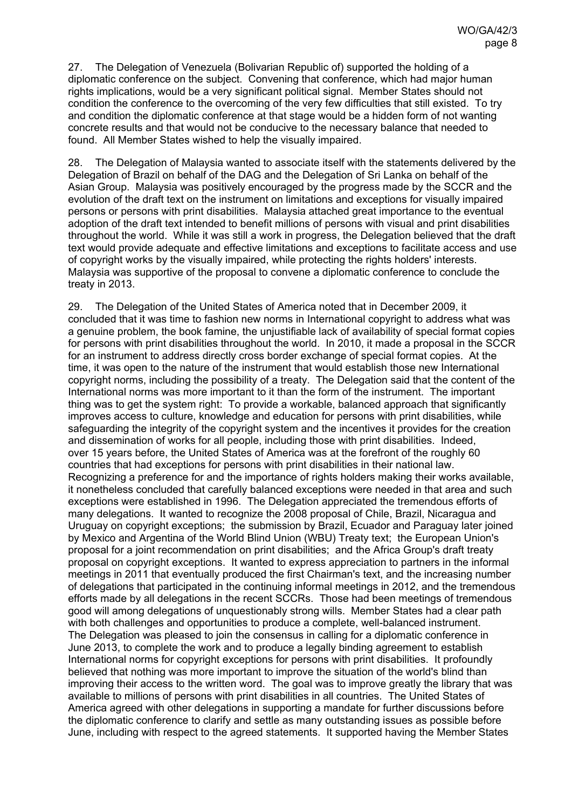27. The Delegation of Venezuela (Bolivarian Republic of) supported the holding of a diplomatic conference on the subject. Convening that conference, which had major human rights implications, would be a very significant political signal. Member States should not condition the conference to the overcoming of the very few difficulties that still existed. To try and condition the diplomatic conference at that stage would be a hidden form of not wanting concrete results and that would not be conducive to the necessary balance that needed to found. All Member States wished to help the visually impaired.

28. The Delegation of Malaysia wanted to associate itself with the statements delivered by the Delegation of Brazil on behalf of the DAG and the Delegation of Sri Lanka on behalf of the Asian Group. Malaysia was positively encouraged by the progress made by the SCCR and the evolution of the draft text on the instrument on limitations and exceptions for visually impaired persons or persons with print disabilities. Malaysia attached great importance to the eventual adoption of the draft text intended to benefit millions of persons with visual and print disabilities throughout the world. While it was still a work in progress, the Delegation believed that the draft text would provide adequate and effective limitations and exceptions to facilitate access and use of copyright works by the visually impaired, while protecting the rights holders' interests. Malaysia was supportive of the proposal to convene a diplomatic conference to conclude the treaty in 2013.

29. The Delegation of the United States of America noted that in December 2009, it concluded that it was time to fashion new norms in International copyright to address what was a genuine problem, the book famine, the unjustifiable lack of availability of special format copies for persons with print disabilities throughout the world. In 2010, it made a proposal in the SCCR for an instrument to address directly cross border exchange of special format copies. At the time, it was open to the nature of the instrument that would establish those new International copyright norms, including the possibility of a treaty. The Delegation said that the content of the International norms was more important to it than the form of the instrument. The important thing was to get the system right: To provide a workable, balanced approach that significantly improves access to culture, knowledge and education for persons with print disabilities, while safeguarding the integrity of the copyright system and the incentives it provides for the creation and dissemination of works for all people, including those with print disabilities. Indeed, over 15 years before, the United States of America was at the forefront of the roughly 60 countries that had exceptions for persons with print disabilities in their national law. Recognizing a preference for and the importance of rights holders making their works available, it nonetheless concluded that carefully balanced exceptions were needed in that area and such exceptions were established in 1996. The Delegation appreciated the tremendous efforts of many delegations. It wanted to recognize the 2008 proposal of Chile, Brazil, Nicaragua and Uruguay on copyright exceptions; the submission by Brazil, Ecuador and Paraguay later joined by Mexico and Argentina of the World Blind Union (WBU) Treaty text; the European Union's proposal for a joint recommendation on print disabilities; and the Africa Group's draft treaty proposal on copyright exceptions. It wanted to express appreciation to partners in the informal meetings in 2011 that eventually produced the first Chairman's text, and the increasing number of delegations that participated in the continuing informal meetings in 2012, and the tremendous efforts made by all delegations in the recent SCCRs. Those had been meetings of tremendous good will among delegations of unquestionably strong wills. Member States had a clear path with both challenges and opportunities to produce a complete, well-balanced instrument. The Delegation was pleased to join the consensus in calling for a diplomatic conference in June 2013, to complete the work and to produce a legally binding agreement to establish International norms for copyright exceptions for persons with print disabilities. It profoundly believed that nothing was more important to improve the situation of the world's blind than improving their access to the written word. The goal was to improve greatly the library that was available to millions of persons with print disabilities in all countries. The United States of America agreed with other delegations in supporting a mandate for further discussions before the diplomatic conference to clarify and settle as many outstanding issues as possible before June, including with respect to the agreed statements. It supported having the Member States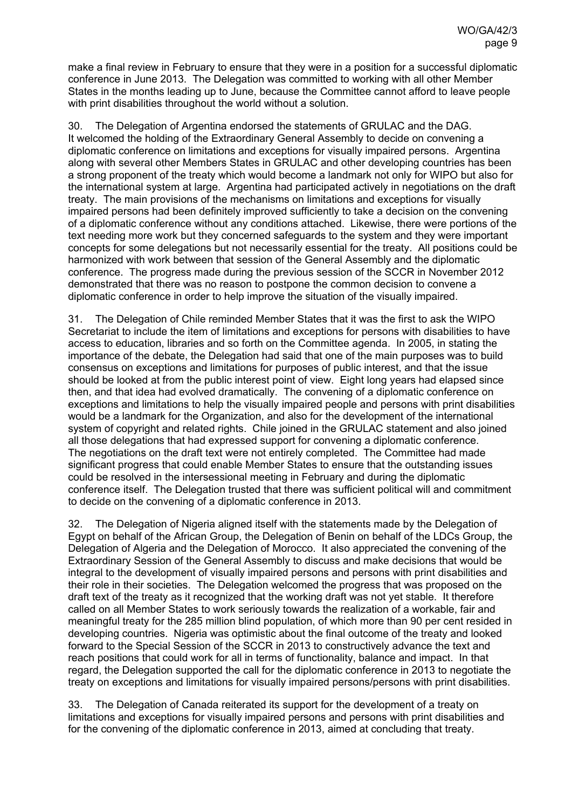make a final review in February to ensure that they were in a position for a successful diplomatic conference in June 2013. The Delegation was committed to working with all other Member States in the months leading up to June, because the Committee cannot afford to leave people with print disabilities throughout the world without a solution.

30. The Delegation of Argentina endorsed the statements of GRULAC and the DAG. It welcomed the holding of the Extraordinary General Assembly to decide on convening a diplomatic conference on limitations and exceptions for visually impaired persons. Argentina along with several other Members States in GRULAC and other developing countries has been a strong proponent of the treaty which would become a landmark not only for WIPO but also for the international system at large. Argentina had participated actively in negotiations on the draft treaty. The main provisions of the mechanisms on limitations and exceptions for visually impaired persons had been definitely improved sufficiently to take a decision on the convening of a diplomatic conference without any conditions attached. Likewise, there were portions of the text needing more work but they concerned safeguards to the system and they were important concepts for some delegations but not necessarily essential for the treaty. All positions could be harmonized with work between that session of the General Assembly and the diplomatic conference. The progress made during the previous session of the SCCR in November 2012 demonstrated that there was no reason to postpone the common decision to convene a diplomatic conference in order to help improve the situation of the visually impaired.

31. The Delegation of Chile reminded Member States that it was the first to ask the WIPO Secretariat to include the item of limitations and exceptions for persons with disabilities to have access to education, libraries and so forth on the Committee agenda. In 2005, in stating the importance of the debate, the Delegation had said that one of the main purposes was to build consensus on exceptions and limitations for purposes of public interest, and that the issue should be looked at from the public interest point of view. Eight long years had elapsed since then, and that idea had evolved dramatically. The convening of a diplomatic conference on exceptions and limitations to help the visually impaired people and persons with print disabilities would be a landmark for the Organization, and also for the development of the international system of copyright and related rights. Chile joined in the GRULAC statement and also joined all those delegations that had expressed support for convening a diplomatic conference. The negotiations on the draft text were not entirely completed. The Committee had made significant progress that could enable Member States to ensure that the outstanding issues could be resolved in the intersessional meeting in February and during the diplomatic conference itself. The Delegation trusted that there was sufficient political will and commitment to decide on the convening of a diplomatic conference in 2013.

32. The Delegation of Nigeria aligned itself with the statements made by the Delegation of Egypt on behalf of the African Group, the Delegation of Benin on behalf of the LDCs Group, the Delegation of Algeria and the Delegation of Morocco. It also appreciated the convening of the Extraordinary Session of the General Assembly to discuss and make decisions that would be integral to the development of visually impaired persons and persons with print disabilities and their role in their societies. The Delegation welcomed the progress that was proposed on the draft text of the treaty as it recognized that the working draft was not yet stable. It therefore called on all Member States to work seriously towards the realization of a workable, fair and meaningful treaty for the 285 million blind population, of which more than 90 per cent resided in developing countries. Nigeria was optimistic about the final outcome of the treaty and looked forward to the Special Session of the SCCR in 2013 to constructively advance the text and reach positions that could work for all in terms of functionality, balance and impact. In that regard, the Delegation supported the call for the diplomatic conference in 2013 to negotiate the treaty on exceptions and limitations for visually impaired persons/persons with print disabilities.

33. The Delegation of Canada reiterated its support for the development of a treaty on limitations and exceptions for visually impaired persons and persons with print disabilities and for the convening of the diplomatic conference in 2013, aimed at concluding that treaty.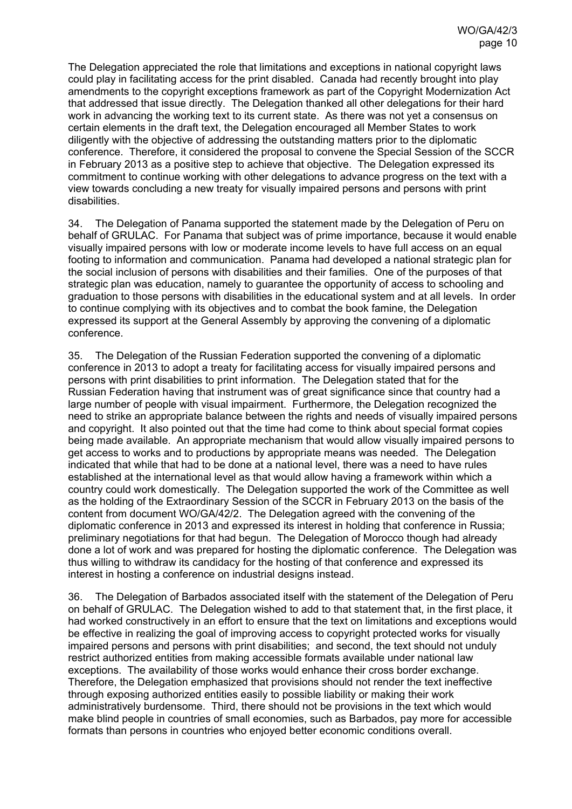The Delegation appreciated the role that limitations and exceptions in national copyright laws could play in facilitating access for the print disabled. Canada had recently brought into play amendments to the copyright exceptions framework as part of the Copyright Modernization Act that addressed that issue directly. The Delegation thanked all other delegations for their hard work in advancing the working text to its current state. As there was not yet a consensus on certain elements in the draft text, the Delegation encouraged all Member States to work diligently with the objective of addressing the outstanding matters prior to the diplomatic conference. Therefore, it considered the proposal to convene the Special Session of the SCCR in February 2013 as a positive step to achieve that objective. The Delegation expressed its commitment to continue working with other delegations to advance progress on the text with a view towards concluding a new treaty for visually impaired persons and persons with print disabilities.

34. The Delegation of Panama supported the statement made by the Delegation of Peru on behalf of GRULAC. For Panama that subject was of prime importance, because it would enable visually impaired persons with low or moderate income levels to have full access on an equal footing to information and communication. Panama had developed a national strategic plan for the social inclusion of persons with disabilities and their families. One of the purposes of that strategic plan was education, namely to guarantee the opportunity of access to schooling and graduation to those persons with disabilities in the educational system and at all levels. In order to continue complying with its objectives and to combat the book famine, the Delegation expressed its support at the General Assembly by approving the convening of a diplomatic conference.

35. The Delegation of the Russian Federation supported the convening of a diplomatic conference in 2013 to adopt a treaty for facilitating access for visually impaired persons and persons with print disabilities to print information. The Delegation stated that for the Russian Federation having that instrument was of great significance since that country had a large number of people with visual impairment. Furthermore, the Delegation recognized the need to strike an appropriate balance between the rights and needs of visually impaired persons and copyright. It also pointed out that the time had come to think about special format copies being made available. An appropriate mechanism that would allow visually impaired persons to get access to works and to productions by appropriate means was needed. The Delegation indicated that while that had to be done at a national level, there was a need to have rules established at the international level as that would allow having a framework within which a country could work domestically. The Delegation supported the work of the Committee as well as the holding of the Extraordinary Session of the SCCR in February 2013 on the basis of the content from document WO/GA/42/2. The Delegation agreed with the convening of the diplomatic conference in 2013 and expressed its interest in holding that conference in Russia; preliminary negotiations for that had begun. The Delegation of Morocco though had already done a lot of work and was prepared for hosting the diplomatic conference. The Delegation was thus willing to withdraw its candidacy for the hosting of that conference and expressed its interest in hosting a conference on industrial designs instead.

36. The Delegation of Barbados associated itself with the statement of the Delegation of Peru on behalf of GRULAC. The Delegation wished to add to that statement that, in the first place, it had worked constructively in an effort to ensure that the text on limitations and exceptions would be effective in realizing the goal of improving access to copyright protected works for visually impaired persons and persons with print disabilities; and second, the text should not unduly restrict authorized entities from making accessible formats available under national law exceptions. The availability of those works would enhance their cross border exchange. Therefore, the Delegation emphasized that provisions should not render the text ineffective through exposing authorized entities easily to possible liability or making their work administratively burdensome. Third, there should not be provisions in the text which would make blind people in countries of small economies, such as Barbados, pay more for accessible formats than persons in countries who enjoyed better economic conditions overall.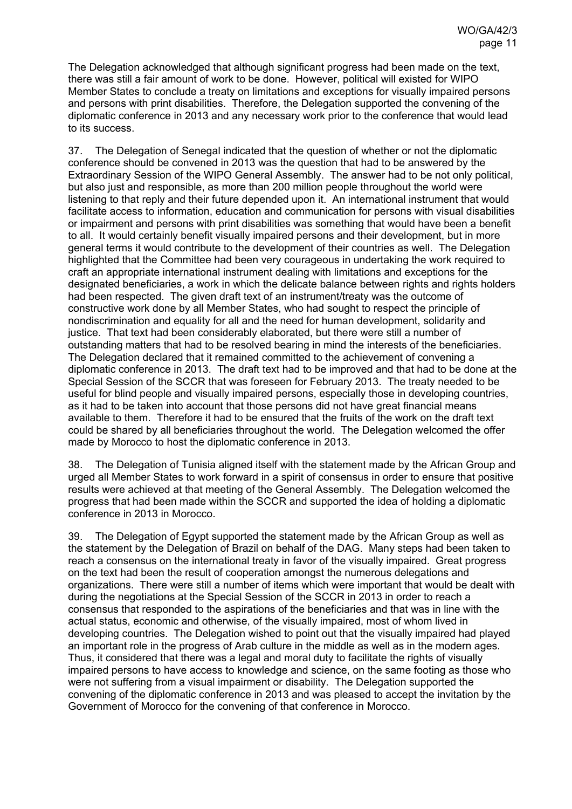The Delegation acknowledged that although significant progress had been made on the text, there was still a fair amount of work to be done. However, political will existed for WIPO Member States to conclude a treaty on limitations and exceptions for visually impaired persons and persons with print disabilities. Therefore, the Delegation supported the convening of the diplomatic conference in 2013 and any necessary work prior to the conference that would lead to its success.

37. The Delegation of Senegal indicated that the question of whether or not the diplomatic conference should be convened in 2013 was the question that had to be answered by the Extraordinary Session of the WIPO General Assembly. The answer had to be not only political, but also just and responsible, as more than 200 million people throughout the world were listening to that reply and their future depended upon it. An international instrument that would facilitate access to information, education and communication for persons with visual disabilities or impairment and persons with print disabilities was something that would have been a benefit to all. It would certainly benefit visually impaired persons and their development, but in more general terms it would contribute to the development of their countries as well. The Delegation highlighted that the Committee had been very courageous in undertaking the work required to craft an appropriate international instrument dealing with limitations and exceptions for the designated beneficiaries, a work in which the delicate balance between rights and rights holders had been respected. The given draft text of an instrument/treaty was the outcome of constructive work done by all Member States, who had sought to respect the principle of nondiscrimination and equality for all and the need for human development, solidarity and justice. That text had been considerably elaborated, but there were still a number of outstanding matters that had to be resolved bearing in mind the interests of the beneficiaries. The Delegation declared that it remained committed to the achievement of convening a diplomatic conference in 2013. The draft text had to be improved and that had to be done at the Special Session of the SCCR that was foreseen for February 2013. The treaty needed to be useful for blind people and visually impaired persons, especially those in developing countries, as it had to be taken into account that those persons did not have great financial means available to them. Therefore it had to be ensured that the fruits of the work on the draft text could be shared by all beneficiaries throughout the world. The Delegation welcomed the offer made by Morocco to host the diplomatic conference in 2013.

38. The Delegation of Tunisia aligned itself with the statement made by the African Group and urged all Member States to work forward in a spirit of consensus in order to ensure that positive results were achieved at that meeting of the General Assembly. The Delegation welcomed the progress that had been made within the SCCR and supported the idea of holding a diplomatic conference in 2013 in Morocco.

39. The Delegation of Egypt supported the statement made by the African Group as well as the statement by the Delegation of Brazil on behalf of the DAG. Many steps had been taken to reach a consensus on the international treaty in favor of the visually impaired. Great progress on the text had been the result of cooperation amongst the numerous delegations and organizations. There were still a number of items which were important that would be dealt with during the negotiations at the Special Session of the SCCR in 2013 in order to reach a consensus that responded to the aspirations of the beneficiaries and that was in line with the actual status, economic and otherwise, of the visually impaired, most of whom lived in developing countries. The Delegation wished to point out that the visually impaired had played an important role in the progress of Arab culture in the middle as well as in the modern ages. Thus, it considered that there was a legal and moral duty to facilitate the rights of visually impaired persons to have access to knowledge and science, on the same footing as those who were not suffering from a visual impairment or disability. The Delegation supported the convening of the diplomatic conference in 2013 and was pleased to accept the invitation by the Government of Morocco for the convening of that conference in Morocco.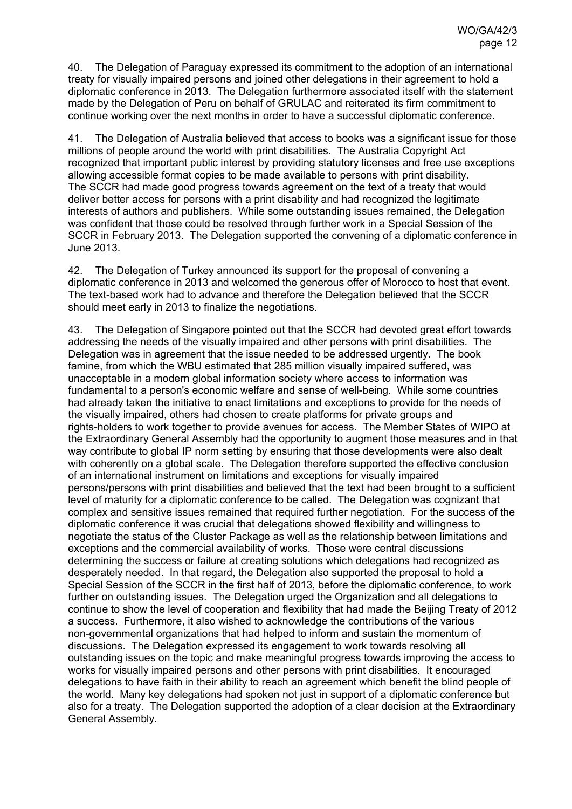40. The Delegation of Paraguay expressed its commitment to the adoption of an international treaty for visually impaired persons and joined other delegations in their agreement to hold a diplomatic conference in 2013. The Delegation furthermore associated itself with the statement made by the Delegation of Peru on behalf of GRULAC and reiterated its firm commitment to continue working over the next months in order to have a successful diplomatic conference.

41. The Delegation of Australia believed that access to books was a significant issue for those millions of people around the world with print disabilities. The Australia Copyright Act recognized that important public interest by providing statutory licenses and free use exceptions allowing accessible format copies to be made available to persons with print disability. The SCCR had made good progress towards agreement on the text of a treaty that would deliver better access for persons with a print disability and had recognized the legitimate interests of authors and publishers. While some outstanding issues remained, the Delegation was confident that those could be resolved through further work in a Special Session of the SCCR in February 2013. The Delegation supported the convening of a diplomatic conference in June 2013.

42. The Delegation of Turkey announced its support for the proposal of convening a diplomatic conference in 2013 and welcomed the generous offer of Morocco to host that event. The text-based work had to advance and therefore the Delegation believed that the SCCR should meet early in 2013 to finalize the negotiations.

43. The Delegation of Singapore pointed out that the SCCR had devoted great effort towards addressing the needs of the visually impaired and other persons with print disabilities. The Delegation was in agreement that the issue needed to be addressed urgently. The book famine, from which the WBU estimated that 285 million visually impaired suffered, was unacceptable in a modern global information society where access to information was fundamental to a person's economic welfare and sense of well-being. While some countries had already taken the initiative to enact limitations and exceptions to provide for the needs of the visually impaired, others had chosen to create platforms for private groups and rights-holders to work together to provide avenues for access. The Member States of WIPO at the Extraordinary General Assembly had the opportunity to augment those measures and in that way contribute to global IP norm setting by ensuring that those developments were also dealt with coherently on a global scale. The Delegation therefore supported the effective conclusion of an international instrument on limitations and exceptions for visually impaired persons/persons with print disabilities and believed that the text had been brought to a sufficient level of maturity for a diplomatic conference to be called. The Delegation was cognizant that complex and sensitive issues remained that required further negotiation. For the success of the diplomatic conference it was crucial that delegations showed flexibility and willingness to negotiate the status of the Cluster Package as well as the relationship between limitations and exceptions and the commercial availability of works. Those were central discussions determining the success or failure at creating solutions which delegations had recognized as desperately needed. In that regard, the Delegation also supported the proposal to hold a Special Session of the SCCR in the first half of 2013, before the diplomatic conference, to work further on outstanding issues. The Delegation urged the Organization and all delegations to continue to show the level of cooperation and flexibility that had made the Beijing Treaty of 2012 a success. Furthermore, it also wished to acknowledge the contributions of the various non-governmental organizations that had helped to inform and sustain the momentum of discussions. The Delegation expressed its engagement to work towards resolving all outstanding issues on the topic and make meaningful progress towards improving the access to works for visually impaired persons and other persons with print disabilities. It encouraged delegations to have faith in their ability to reach an agreement which benefit the blind people of the world. Many key delegations had spoken not just in support of a diplomatic conference but also for a treaty. The Delegation supported the adoption of a clear decision at the Extraordinary General Assembly.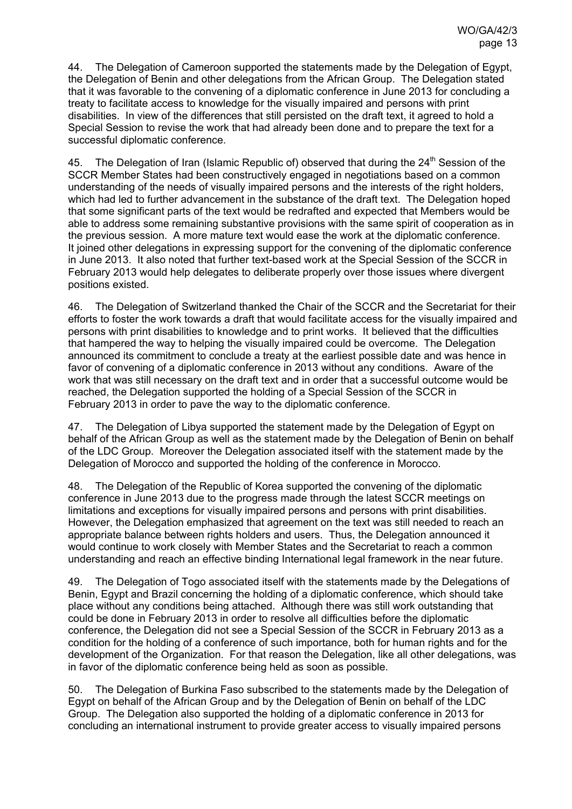44. The Delegation of Cameroon supported the statements made by the Delegation of Egypt, the Delegation of Benin and other delegations from the African Group. The Delegation stated that it was favorable to the convening of a diplomatic conference in June 2013 for concluding a treaty to facilitate access to knowledge for the visually impaired and persons with print disabilities. In view of the differences that still persisted on the draft text, it agreed to hold a Special Session to revise the work that had already been done and to prepare the text for a successful diplomatic conference.

45. The Delegation of Iran (Islamic Republic of) observed that during the 24<sup>th</sup> Session of the SCCR Member States had been constructively engaged in negotiations based on a common understanding of the needs of visually impaired persons and the interests of the right holders, which had led to further advancement in the substance of the draft text. The Delegation hoped that some significant parts of the text would be redrafted and expected that Members would be able to address some remaining substantive provisions with the same spirit of cooperation as in the previous session. A more mature text would ease the work at the diplomatic conference. It joined other delegations in expressing support for the convening of the diplomatic conference in June 2013. It also noted that further text-based work at the Special Session of the SCCR in February 2013 would help delegates to deliberate properly over those issues where divergent positions existed.

46. The Delegation of Switzerland thanked the Chair of the SCCR and the Secretariat for their efforts to foster the work towards a draft that would facilitate access for the visually impaired and persons with print disabilities to knowledge and to print works. It believed that the difficulties that hampered the way to helping the visually impaired could be overcome. The Delegation announced its commitment to conclude a treaty at the earliest possible date and was hence in favor of convening of a diplomatic conference in 2013 without any conditions. Aware of the work that was still necessary on the draft text and in order that a successful outcome would be reached, the Delegation supported the holding of a Special Session of the SCCR in February 2013 in order to pave the way to the diplomatic conference.

47. The Delegation of Libya supported the statement made by the Delegation of Egypt on behalf of the African Group as well as the statement made by the Delegation of Benin on behalf of the LDC Group. Moreover the Delegation associated itself with the statement made by the Delegation of Morocco and supported the holding of the conference in Morocco.

48. The Delegation of the Republic of Korea supported the convening of the diplomatic conference in June 2013 due to the progress made through the latest SCCR meetings on limitations and exceptions for visually impaired persons and persons with print disabilities. However, the Delegation emphasized that agreement on the text was still needed to reach an appropriate balance between rights holders and users. Thus, the Delegation announced it would continue to work closely with Member States and the Secretariat to reach a common understanding and reach an effective binding International legal framework in the near future.

49. The Delegation of Togo associated itself with the statements made by the Delegations of Benin, Egypt and Brazil concerning the holding of a diplomatic conference, which should take place without any conditions being attached. Although there was still work outstanding that could be done in February 2013 in order to resolve all difficulties before the diplomatic conference, the Delegation did not see a Special Session of the SCCR in February 2013 as a condition for the holding of a conference of such importance, both for human rights and for the development of the Organization. For that reason the Delegation, like all other delegations, was in favor of the diplomatic conference being held as soon as possible.

50. The Delegation of Burkina Faso subscribed to the statements made by the Delegation of Egypt on behalf of the African Group and by the Delegation of Benin on behalf of the LDC Group. The Delegation also supported the holding of a diplomatic conference in 2013 for concluding an international instrument to provide greater access to visually impaired persons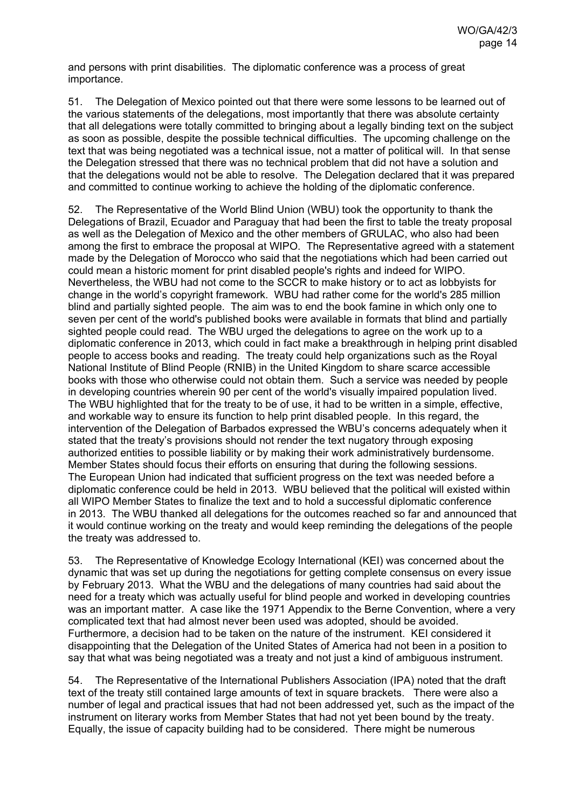and persons with print disabilities. The diplomatic conference was a process of great importance.

51. The Delegation of Mexico pointed out that there were some lessons to be learned out of the various statements of the delegations, most importantly that there was absolute certainty that all delegations were totally committed to bringing about a legally binding text on the subject as soon as possible, despite the possible technical difficulties. The upcoming challenge on the text that was being negotiated was a technical issue, not a matter of political will. In that sense the Delegation stressed that there was no technical problem that did not have a solution and that the delegations would not be able to resolve. The Delegation declared that it was prepared and committed to continue working to achieve the holding of the diplomatic conference.

52. The Representative of the World Blind Union (WBU) took the opportunity to thank the Delegations of Brazil, Ecuador and Paraguay that had been the first to table the treaty proposal as well as the Delegation of Mexico and the other members of GRULAC, who also had been among the first to embrace the proposal at WIPO. The Representative agreed with a statement made by the Delegation of Morocco who said that the negotiations which had been carried out could mean a historic moment for print disabled people's rights and indeed for WIPO. Nevertheless, the WBU had not come to the SCCR to make history or to act as lobbyists for change in the world's copyright framework. WBU had rather come for the world's 285 million blind and partially sighted people. The aim was to end the book famine in which only one to seven per cent of the world's published books were available in formats that blind and partially sighted people could read. The WBU urged the delegations to agree on the work up to a diplomatic conference in 2013, which could in fact make a breakthrough in helping print disabled people to access books and reading. The treaty could help organizations such as the Royal National Institute of Blind People (RNIB) in the United Kingdom to share scarce accessible books with those who otherwise could not obtain them. Such a service was needed by people in developing countries wherein 90 per cent of the world's visually impaired population lived. The WBU highlighted that for the treaty to be of use, it had to be written in a simple, effective, and workable way to ensure its function to help print disabled people. In this regard, the intervention of the Delegation of Barbados expressed the WBU's concerns adequately when it stated that the treaty's provisions should not render the text nugatory through exposing authorized entities to possible liability or by making their work administratively burdensome. Member States should focus their efforts on ensuring that during the following sessions. The European Union had indicated that sufficient progress on the text was needed before a diplomatic conference could be held in 2013. WBU believed that the political will existed within all WIPO Member States to finalize the text and to hold a successful diplomatic conference in 2013. The WBU thanked all delegations for the outcomes reached so far and announced that it would continue working on the treaty and would keep reminding the delegations of the people the treaty was addressed to.

53. The Representative of Knowledge Ecology International (KEI) was concerned about the dynamic that was set up during the negotiations for getting complete consensus on every issue by February 2013. What the WBU and the delegations of many countries had said about the need for a treaty which was actually useful for blind people and worked in developing countries was an important matter. A case like the 1971 Appendix to the Berne Convention, where a very complicated text that had almost never been used was adopted, should be avoided. Furthermore, a decision had to be taken on the nature of the instrument. KEI considered it disappointing that the Delegation of the United States of America had not been in a position to say that what was being negotiated was a treaty and not just a kind of ambiguous instrument.

54. The Representative of the International Publishers Association (IPA) noted that the draft text of the treaty still contained large amounts of text in square brackets. There were also a number of legal and practical issues that had not been addressed yet, such as the impact of the instrument on literary works from Member States that had not yet been bound by the treaty. Equally, the issue of capacity building had to be considered. There might be numerous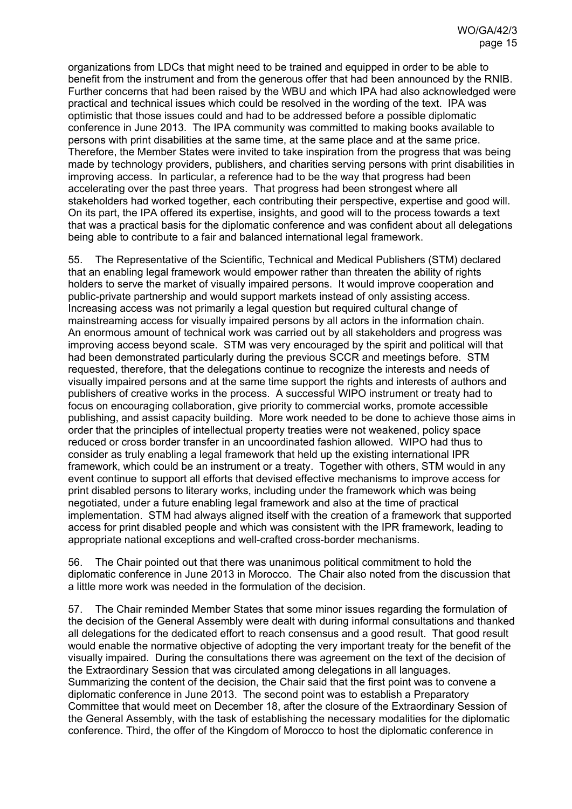organizations from LDCs that might need to be trained and equipped in order to be able to benefit from the instrument and from the generous offer that had been announced by the RNIB. Further concerns that had been raised by the WBU and which IPA had also acknowledged were practical and technical issues which could be resolved in the wording of the text. IPA was optimistic that those issues could and had to be addressed before a possible diplomatic conference in June 2013. The IPA community was committed to making books available to persons with print disabilities at the same time, at the same place and at the same price. Therefore, the Member States were invited to take inspiration from the progress that was being made by technology providers, publishers, and charities serving persons with print disabilities in improving access. In particular, a reference had to be the way that progress had been accelerating over the past three years. That progress had been strongest where all stakeholders had worked together, each contributing their perspective, expertise and good will. On its part, the IPA offered its expertise, insights, and good will to the process towards a text that was a practical basis for the diplomatic conference and was confident about all delegations being able to contribute to a fair and balanced international legal framework.

55. The Representative of the Scientific, Technical and Medical Publishers (STM) declared that an enabling legal framework would empower rather than threaten the ability of rights holders to serve the market of visually impaired persons. It would improve cooperation and public-private partnership and would support markets instead of only assisting access. Increasing access was not primarily a legal question but required cultural change of mainstreaming access for visually impaired persons by all actors in the information chain. An enormous amount of technical work was carried out by all stakeholders and progress was improving access beyond scale. STM was very encouraged by the spirit and political will that had been demonstrated particularly during the previous SCCR and meetings before. STM requested, therefore, that the delegations continue to recognize the interests and needs of visually impaired persons and at the same time support the rights and interests of authors and publishers of creative works in the process. A successful WIPO instrument or treaty had to focus on encouraging collaboration, give priority to commercial works, promote accessible publishing, and assist capacity building. More work needed to be done to achieve those aims in order that the principles of intellectual property treaties were not weakened, policy space reduced or cross border transfer in an uncoordinated fashion allowed. WIPO had thus to consider as truly enabling a legal framework that held up the existing international IPR framework, which could be an instrument or a treaty. Together with others, STM would in any event continue to support all efforts that devised effective mechanisms to improve access for print disabled persons to literary works, including under the framework which was being negotiated, under a future enabling legal framework and also at the time of practical implementation. STM had always aligned itself with the creation of a framework that supported access for print disabled people and which was consistent with the IPR framework, leading to appropriate national exceptions and well-crafted cross-border mechanisms.

56. The Chair pointed out that there was unanimous political commitment to hold the diplomatic conference in June 2013 in Morocco. The Chair also noted from the discussion that a little more work was needed in the formulation of the decision.

57. The Chair reminded Member States that some minor issues regarding the formulation of the decision of the General Assembly were dealt with during informal consultations and thanked all delegations for the dedicated effort to reach consensus and a good result. That good result would enable the normative objective of adopting the very important treaty for the benefit of the visually impaired. During the consultations there was agreement on the text of the decision of the Extraordinary Session that was circulated among delegations in all languages. Summarizing the content of the decision, the Chair said that the first point was to convene a diplomatic conference in June 2013. The second point was to establish a Preparatory Committee that would meet on December 18, after the closure of the Extraordinary Session of the General Assembly, with the task of establishing the necessary modalities for the diplomatic conference. Third, the offer of the Kingdom of Morocco to host the diplomatic conference in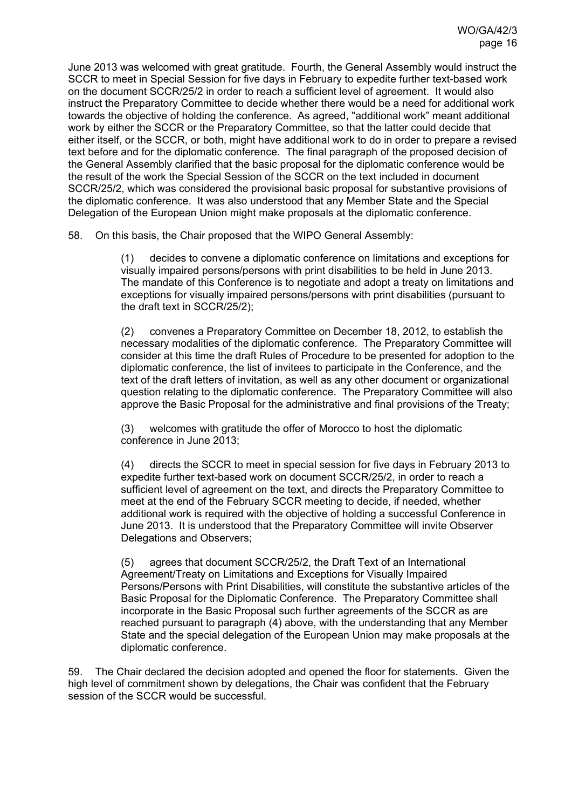June 2013 was welcomed with great gratitude. Fourth, the General Assembly would instruct the SCCR to meet in Special Session for five days in February to expedite further text-based work on the document SCCR/25/2 in order to reach a sufficient level of agreement. It would also instruct the Preparatory Committee to decide whether there would be a need for additional work towards the objective of holding the conference. As agreed, "additional work" meant additional work by either the SCCR or the Preparatory Committee, so that the latter could decide that either itself, or the SCCR, or both, might have additional work to do in order to prepare a revised text before and for the diplomatic conference. The final paragraph of the proposed decision of the General Assembly clarified that the basic proposal for the diplomatic conference would be the result of the work the Special Session of the SCCR on the text included in document SCCR/25/2, which was considered the provisional basic proposal for substantive provisions of the diplomatic conference. It was also understood that any Member State and the Special Delegation of the European Union might make proposals at the diplomatic conference.

58. On this basis, the Chair proposed that the WIPO General Assembly:

(1) decides to convene a diplomatic conference on limitations and exceptions for visually impaired persons/persons with print disabilities to be held in June 2013. The mandate of this Conference is to negotiate and adopt a treaty on limitations and exceptions for visually impaired persons/persons with print disabilities (pursuant to the draft text in SCCR/25/2);

(2) convenes a Preparatory Committee on December 18, 2012, to establish the necessary modalities of the diplomatic conference. The Preparatory Committee will consider at this time the draft Rules of Procedure to be presented for adoption to the diplomatic conference, the list of invitees to participate in the Conference, and the text of the draft letters of invitation, as well as any other document or organizational question relating to the diplomatic conference. The Preparatory Committee will also approve the Basic Proposal for the administrative and final provisions of the Treaty;

(3) welcomes with gratitude the offer of Morocco to host the diplomatic conference in June 2013;

(4) directs the SCCR to meet in special session for five days in February 2013 to expedite further text-based work on document SCCR/25/2, in order to reach a sufficient level of agreement on the text, and directs the Preparatory Committee to meet at the end of the February SCCR meeting to decide, if needed, whether additional work is required with the objective of holding a successful Conference in June 2013. It is understood that the Preparatory Committee will invite Observer Delegations and Observers;

(5) agrees that document SCCR/25/2, the Draft Text of an International Agreement/Treaty on Limitations and Exceptions for Visually Impaired Persons/Persons with Print Disabilities, will constitute the substantive articles of the Basic Proposal for the Diplomatic Conference. The Preparatory Committee shall incorporate in the Basic Proposal such further agreements of the SCCR as are reached pursuant to paragraph (4) above, with the understanding that any Member State and the special delegation of the European Union may make proposals at the diplomatic conference.

59. The Chair declared the decision adopted and opened the floor for statements. Given the high level of commitment shown by delegations, the Chair was confident that the February session of the SCCR would be successful.